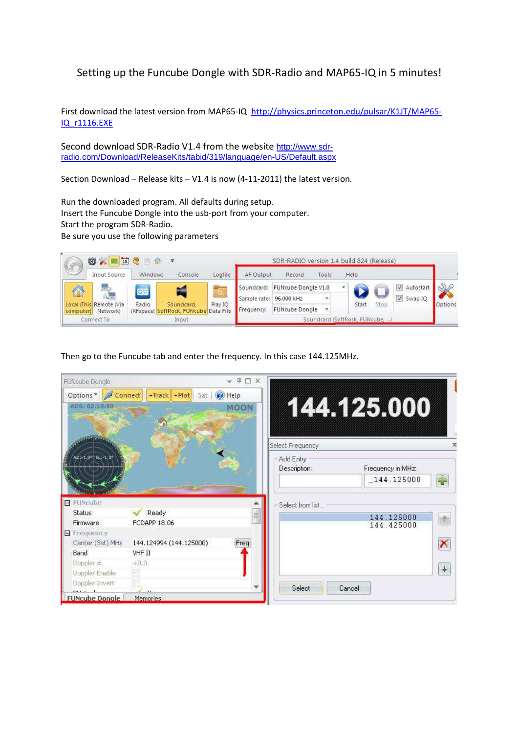## Setting up the Funcube Dongle with SDR-Radio and MAP65-IQ in 5 minutes!

First download the latest version from MAP65-IQ http://physics.princeton.edu/pulsar/K1JT/MAP65-IQ\_r1116.EXE

Second download SDR-Radio V1.4 from the website http://www.sdrradio.com/Download/ReleaseKits/tabid/319/language/en-US/Default.aspx

Section Download – Release kits – V1.4 is now (4-11-2011) the latest version.

Run the downloaded program. All defaults during setup. Insert the Funcube Dongle into the usb-port from your computer. Start the program SDR-Radio. Be sure you use the following parameters



Then go to the Funcube tab and enter the frequency. In this case 144.125MHz.

| FUNcube Dongle                                |                         | $H \square X$ |                           |                          |
|-----------------------------------------------|-------------------------|---------------|---------------------------|--------------------------|
| Options * Gonnect                             | +Track +Plot Sat        | Help Help     |                           |                          |
| AOS: 02:15:50                                 |                         | <b>MOON</b>   |                           | 144.125.000              |
|                                               |                         |               |                           |                          |
|                                               |                         |               | Select Frequency          |                          |
| 2: 1.0" EL: 1.0"                              |                         |               | Add Entry<br>Description: | Frequency in MHz:        |
|                                               |                         |               |                           | 4<br>144.125000          |
| <b>E FUNCube</b><br><b>Status</b><br>Firmware | Ready<br>FCDAPP 18.06   |               | Select from list          | 144.125000<br>144.425000 |
| <b>E</b> Frequency<br>Center (Set) MHz        | 144.124994 (144.125000) | Freq          |                           | $\overline{\mathsf{X}}$  |
| Band                                          | VHF II                  |               |                           |                          |
| Doppler ±                                     | $+0.0$                  |               |                           |                          |
| Doppler Enable                                |                         |               |                           | $\downarrow$             |
| Doppler Invert                                |                         |               |                           |                          |
| <b>FUNcube Dongle</b>                         | 20022<br>Memories.      |               | Select                    | Cancel                   |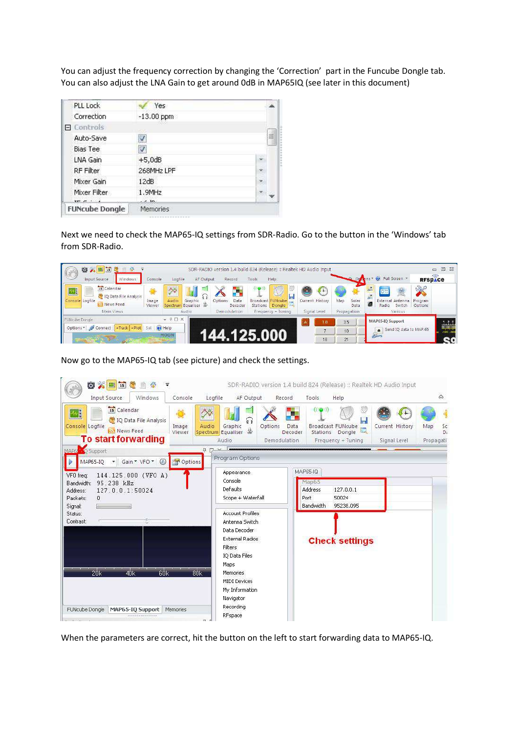You can adjust the frequency correction by changing the 'Correction' part in the Funcube Dongle tab. You can also adjust the LNA Gain to get around 0dB in MAP65IQ (see later in this document)

| PLL Lock              | <b>Yes</b>      |    |
|-----------------------|-----------------|----|
| Correction            | $-13.00$ ppm    |    |
| El Controls           |                 |    |
| Auto-Save             | J               | S. |
| <b>Bias Tee</b>       | V               |    |
| <b>LNA Gain</b>       | $+5,0$ dB       | ÷  |
| RF Filter             | 268MHz LPF      | ş  |
| Mixer Gain            | 12dB            | Y. |
| Mixer Filter          | 1.9MHz          |    |
| $   -$                | الخطائف         |    |
| <b>FUNcube Dongle</b> | <b>Memories</b> |    |

Next we need to check the MAP65-IQ settings from SDR-Radio. Go to the button in the 'Windows' tab from SDR-Radio.

| 0 1 2<br>$\overline{B}$<br><b>Input Source</b><br>Windows<br>Console                                                                            | Logfile<br>AF Output                                                       | Record                                     | SDR-RADIO version 1.4 build 824 (Release) :: Realtek HD Audio Input<br>Tools<br>Help |                                 |                                     | Pull Screen                                                                                    | $-0$<br>$\Sigma$<br>RFSPACE                        |
|-------------------------------------------------------------------------------------------------------------------------------------------------|----------------------------------------------------------------------------|--------------------------------------------|--------------------------------------------------------------------------------------|---------------------------------|-------------------------------------|------------------------------------------------------------------------------------------------|----------------------------------------------------|
| 15 Calendar<br>$\mathbb{Z}^3$<br><sup>1</sup> IQ Data File Analysis<br>Console Logfile<br>Image<br><b>Int News Feed</b><br>Viewer<br>Main Views | 冷<br>$\frac{1}{9}$<br>Audio<br>Graphic<br>鉴<br>Spectrum Equaliser<br>Audio | Options<br>Data<br>Decoder<br>Demodulation | Broadcast FUNcube<br>Stations Dongle<br>Frequency + Tuning                           | Current History<br>Signal Level | Solar<br>Map<br>Data<br>Propagation | <b>OH</b><br>$\frac{1}{2}$<br>$\overline{a}$<br>External Antenna<br>Switch<br>Radio<br>Various | X<br>Program<br>Options                            |
| FUNcube Donale<br>$+$ Track $+$ Plot<br>Sat<br>Options *<br>Connect                                                                             | $-4\pi \times$<br><b>O</b> Help<br><b>MOON</b>                             | <b>ZZKPLXMM</b>                            |                                                                                      | 18                              | 3.5<br>10<br>21                     | MAP65-IQ Support<br>Send IO data to MAP-65                                                     | 1,3,5<br><b>Thinhin</b><br>Thinhin<br>$\mathbf{v}$ |

Now go to the MAP65-IQ tab (see picture) and check the settings.

| <b>OX 35</b>                                                                                                                                                                                     |                                                                                                                                                                                            | SDR-RADIO version 1.4 build 824 (Release) :: Realtek HD Audio Input                                                                          | $\omega$                     |  |
|--------------------------------------------------------------------------------------------------------------------------------------------------------------------------------------------------|--------------------------------------------------------------------------------------------------------------------------------------------------------------------------------------------|----------------------------------------------------------------------------------------------------------------------------------------------|------------------------------|--|
| Input Source<br>Windows<br>Console<br>is Calendar<br>⅍<br><sup>1</sup> IQ Data File Analysis<br>Audio<br>Console Logfile<br>Image<br><b>NY News Feed</b><br>Viewer<br><b>To start forwarding</b> | Logfile<br>AF Output<br>Record<br>ଋ<br>Graphic<br>Options<br>Spectrum Equaliser<br>Demodulation<br>Audio                                                                                   | Help<br>Tools<br>Н<br>Current History<br>Data<br>Broadcast FUNcube<br>L.<br>Stations Dongle<br>Decoder<br>Frequency + Tuning<br>Signal Level | Map<br>Sc<br>D;<br>Propagati |  |
| Support<br>MAP6<br>MAP65-IQ - Gain * VFO *<br>$\circledcirc$<br>Options                                                                                                                          | <b>ロワン</b><br>Program Options                                                                                                                                                              |                                                                                                                                              |                              |  |
| VFO freq:<br>144.125.000 (VFO A)<br>95.238 kHz<br>Bandwidth:<br>127.0.0.1:50024<br>Address:<br>Packets:<br>$\mathbf{0}$<br>Signal:                                                               | Appearance<br>Console<br>Defaults<br>Scope + Waterfall                                                                                                                                     | MAP65-10<br>Map65<br><b>Address</b><br>127.0.0.1<br>50024<br>Port<br>Bandwidth<br>95238.095                                                  |                              |  |
| Status:<br><b>Contrast:</b><br>$\sim$<br><b>ANGELER</b><br>60 <sub>k</sub><br>20k<br>80 <sub>k</sub><br>40 <sub>k</sub>                                                                          | <b>Account Profiles</b><br>Antenna Switch<br>Data Decoder<br><b>External Radios</b><br>Filters<br>IQ Data Files<br>Maps<br>Memories.<br><b>MIDI Devices</b><br>My Information<br>Navigator | <b>Check settings</b>                                                                                                                        |                              |  |
| FUNcube Dongle<br>MAP65-IQ Support<br>Memories<br><b>****************</b><br><b>WARRANT WAR</b>                                                                                                  | Recording<br>RFspace                                                                                                                                                                       |                                                                                                                                              |                              |  |

When the parameters are correct, hit the button on the left to start forwarding data to MAP65-IQ.